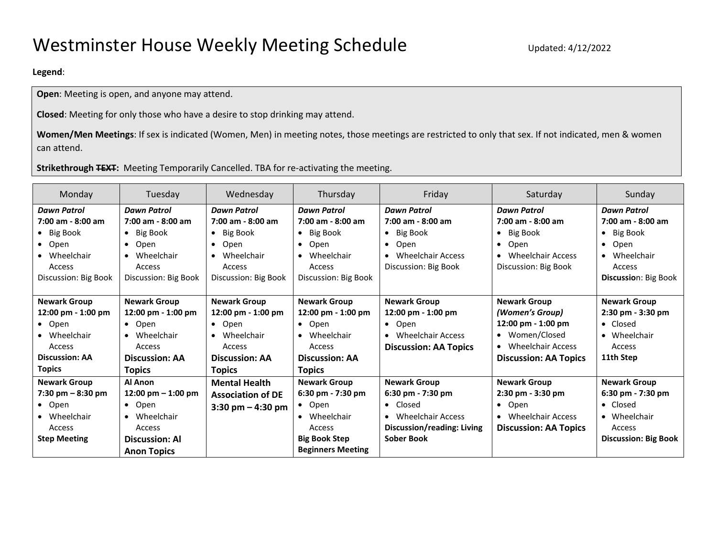## **Legend**:

**Open**: Meeting is open, and anyone may attend.

**Closed**: Meeting for only those who have a desire to stop drinking may attend.

**Women/Men Meetings**: If sex is indicated (Women, Men) in meeting notes, those meetings are restricted to only that sex. If not indicated, men & women can attend.

## **Strikethrough TEXT:** Meeting Temporarily Cancelled. TBA for re-activating the meeting.

| Monday                                                                                                                  | Tuesday                                                                                                                              | Wednesday                                                                                                                            | Thursday                                                                                                                                 | Friday                                                                                                                    | Saturday                                                                                                                                         | Sunday                                                                                                                                   |  |  |  |
|-------------------------------------------------------------------------------------------------------------------------|--------------------------------------------------------------------------------------------------------------------------------------|--------------------------------------------------------------------------------------------------------------------------------------|------------------------------------------------------------------------------------------------------------------------------------------|---------------------------------------------------------------------------------------------------------------------------|--------------------------------------------------------------------------------------------------------------------------------------------------|------------------------------------------------------------------------------------------------------------------------------------------|--|--|--|
| <b>Dawn Patrol</b><br>7:00 am - 8:00 am<br>• Big Book<br>• Open<br>• Wheelchair<br>Access<br>Discussion: Big Book       | <b>Dawn Patrol</b><br>7:00 am - 8:00 am<br>$\bullet$ Big Book<br>Open<br>$\bullet$<br>• Wheelchair<br>Access<br>Discussion: Big Book | <b>Dawn Patrol</b><br>7:00 am - 8:00 am<br>$\bullet$ Big Book<br>Open<br>$\bullet$<br>• Wheelchair<br>Access<br>Discussion: Big Book | <b>Dawn Patrol</b><br>7:00 am - 8:00 am<br>$\bullet$ Big Book<br>Open<br>$\bullet$<br>• Wheelchair<br>Access<br>Discussion: Big Book     | <b>Dawn Patrol</b><br>7:00 am - 8:00 am<br>• Big Book<br>Open<br>$\bullet$<br>• Wheelchair Access<br>Discussion: Big Book | <b>Dawn Patrol</b><br>7:00 am - 8:00 am<br>Big Book<br>$\bullet$<br>Open<br>$\bullet$<br>Wheelchair Access<br>$\bullet$<br>Discussion: Big Book  | <b>Dawn Patrol</b><br>$7:00$ am - $8:00$ am<br>$\bullet$ Big Book<br>Open<br>$\bullet$<br>• Wheelchair<br>Access<br>Discussion: Big Book |  |  |  |
| <b>Newark Group</b><br>12:00 pm - 1:00 pm<br>• Open<br>• Wheelchair<br>Access<br><b>Discussion: AA</b><br><b>Topics</b> | <b>Newark Group</b><br>12:00 pm - 1:00 pm<br>$\bullet$ Open<br>• Wheelchair<br>Access<br><b>Discussion: AA</b><br><b>Topics</b>      | <b>Newark Group</b><br>12:00 pm - 1:00 pm<br>$\bullet$ Open<br>• Wheelchair<br>Access<br><b>Discussion: AA</b><br><b>Topics</b>      | <b>Newark Group</b><br>12:00 pm - 1:00 pm<br>$\bullet$ Open<br>• Wheelchair<br>Access<br><b>Discussion: AA</b><br><b>Topics</b>          | <b>Newark Group</b><br>12:00 pm - 1:00 pm<br>$\bullet$ Open<br>• Wheelchair Access<br><b>Discussion: AA Topics</b>        | <b>Newark Group</b><br>(Women's Group)<br>12:00 pm - 1:00 pm<br>• Women/Closed<br>Wheelchair Access<br>$\bullet$<br><b>Discussion: AA Topics</b> | <b>Newark Group</b><br>2:30 pm - 3:30 pm<br>• Closed<br>• Wheelchair<br><b>Access</b><br>11th Step                                       |  |  |  |
| <b>Newark Group</b><br>7:30 pm $-8:30$ pm<br>• Open<br>• Wheelchair<br>Access<br><b>Step Meeting</b>                    | Al Anon<br>12:00 pm $-$ 1:00 pm<br>$\bullet$ Open<br>• Wheelchair<br>Access<br><b>Discussion: Al</b><br><b>Anon Topics</b>           | <b>Mental Health</b><br><b>Association of DE</b><br>$3:30 \text{ pm} - 4:30 \text{ pm}$                                              | <b>Newark Group</b><br>6:30 pm - 7:30 pm<br>$\bullet$ Open<br>• Wheelchair<br>Access<br><b>Big Book Step</b><br><b>Beginners Meeting</b> | <b>Newark Group</b><br>6:30 pm - 7:30 pm<br>• Closed<br>• Wheelchair Access<br>Discussion/reading: Living<br>Sober Book   | <b>Newark Group</b><br>2:30 pm - 3:30 pm<br>$\bullet$ Open<br>• Wheelchair Access<br><b>Discussion: AA Topics</b>                                | <b>Newark Group</b><br>6:30 pm - 7:30 pm<br>• Closed<br>• Wheelchair<br>Access<br><b>Discussion: Big Book</b>                            |  |  |  |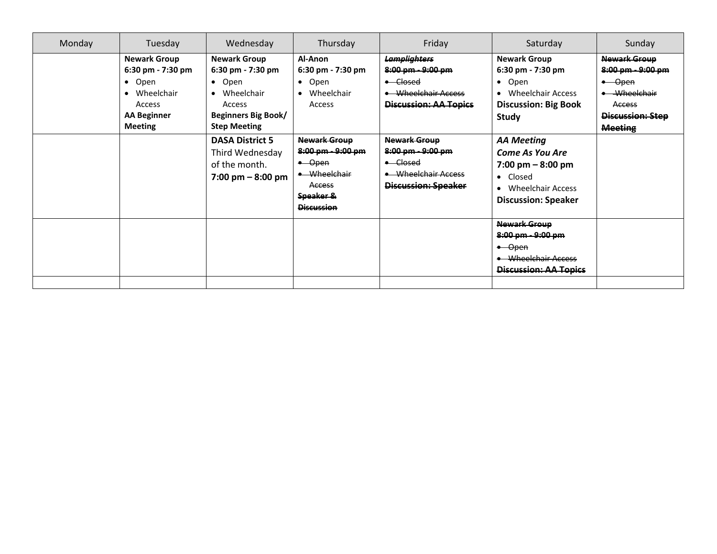| Monday | Tuesday                                                                                                                     | Wednesday                                                                                                                                                           | Thursday                                                                                                   | Friday                                                                                                                                 | Saturday                                                                                                                                                                       | Sunday                                                                                                                              |
|--------|-----------------------------------------------------------------------------------------------------------------------------|---------------------------------------------------------------------------------------------------------------------------------------------------------------------|------------------------------------------------------------------------------------------------------------|----------------------------------------------------------------------------------------------------------------------------------------|--------------------------------------------------------------------------------------------------------------------------------------------------------------------------------|-------------------------------------------------------------------------------------------------------------------------------------|
|        | <b>Newark Group</b><br>6:30 pm - 7:30 pm<br>• Open<br>• Wheelchair<br><b>Access</b><br><b>AA Beginner</b><br><b>Meeting</b> | <b>Newark Group</b><br>6:30 pm - 7:30 pm<br>$\bullet$ Open<br>• Wheelchair<br>Access<br><b>Beginners Big Book/</b><br><b>Step Meeting</b><br><b>DASA District 5</b> | Al-Anon<br>$6:30 \text{ pm} - 7:30 \text{ pm}$<br>$\bullet$ Open<br>• Wheelchair<br>Access<br>Newark Group | <b>Lamplighters</b><br>8:00 pm - 9:00 pm<br>$\leftarrow$ Closed<br>• Wheelchair Access<br>Discussion: AA Topics<br><b>Newark Group</b> | <b>Newark Group</b><br>$6:30 \text{ pm} - 7:30 \text{ pm}$<br>Open<br>$\bullet$<br>Wheelchair Access<br>$\bullet$<br><b>Discussion: Big Book</b><br>Study<br><b>AA Meeting</b> | Newark Group<br>8:00 pm - 9:00 pm<br>-Open<br>$\bullet$<br>Wheelchair<br><b>Access</b><br><b>Discussion: Step</b><br><b>Meeting</b> |
|        |                                                                                                                             | Third Wednesday<br>of the month.<br>$7:00 \text{ pm} - 8:00 \text{ pm}$                                                                                             | 8:00 pm - 9:00 pm<br>$-$ Open<br>• Wheelchair<br>Access<br>Speaker &<br><b>Discussion</b>                  | 8:00 pm - 9:00 pm<br>• Closed<br>• Wheelchair Access<br>Discussion: Speaker                                                            | <b>Come As You Are</b><br>$7:00 \text{ pm} - 8:00 \text{ pm}$<br>Closed<br>$\bullet$<br>Wheelchair Access<br>$\bullet$<br><b>Discussion: Speaker</b>                           |                                                                                                                                     |
|        |                                                                                                                             |                                                                                                                                                                     |                                                                                                            |                                                                                                                                        | Newark Group<br>8:00 pm - 9:00 pm<br>$\leftarrow$ Open<br>• Wheelchair Access<br>Discussion: AA Topics                                                                         |                                                                                                                                     |